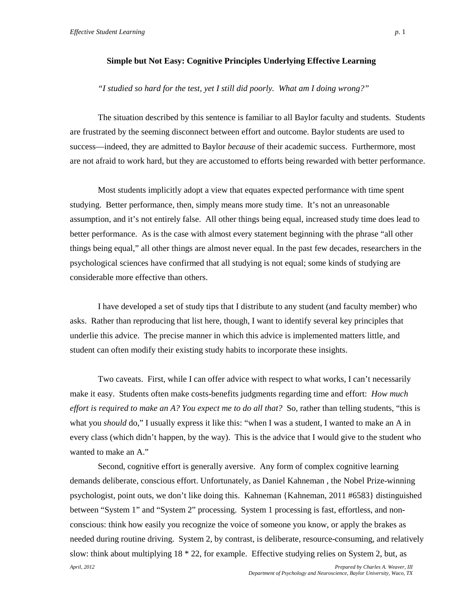## **Simple but Not Easy: Cognitive Principles Underlying Effective Learning**

#### *"I studied so hard for the test, yet I still did poorly. What am I doing wrong?"*

The situation described by this sentence is familiar to all Baylor faculty and students. Students are frustrated by the seeming disconnect between effort and outcome. Baylor students are used to success—indeed, they are admitted to Baylor *because* of their academic success. Furthermore, most are not afraid to work hard, but they are accustomed to efforts being rewarded with better performance.

Most students implicitly adopt a view that equates expected performance with time spent studying. Better performance, then, simply means more study time. It's not an unreasonable assumption, and it's not entirely false. All other things being equal, increased study time does lead to better performance. As is the case with almost every statement beginning with the phrase "all other things being equal," all other things are almost never equal. In the past few decades, researchers in the psychological sciences have confirmed that all studying is not equal; some kinds of studying are considerable more effective than others.

I have developed a set of study tips that I distribute to any student (and faculty member) who asks. Rather than reproducing that list here, though, I want to identify several key principles that underlie this advice. The precise manner in which this advice is implemented matters little, and student can often modify their existing study habits to incorporate these insights.

Two caveats. First, while I can offer advice with respect to what works, I can't necessarily make it easy. Students often make costs-benefits judgments regarding time and effort: *How much effort is required to make an A? You expect me to do all that?* So, rather than telling students, "this is what you *should* do," I usually express it like this: "when I was a student, I wanted to make an A in every class (which didn't happen, by the way). This is the advice that I would give to the student who wanted to make an A."

*April, 2012 Prepared by Charles A. Weaver, III* Second, cognitive effort is generally aversive. Any form of complex cognitive learning demands deliberate, conscious effort. Unfortunately, as Daniel Kahneman , the Nobel Prize-winning psychologist, point outs, we don't like doing this. Kahneman {Kahneman, 2011 #6583} distinguished between "System 1" and "System 2" processing. System 1 processing is fast, effortless, and nonconscious: think how easily you recognize the voice of someone you know, or apply the brakes as needed during routine driving. System 2, by contrast, is deliberate, resource-consuming, and relatively slow: think about multiplying 18 \* 22, for example. Effective studying relies on System 2, but, as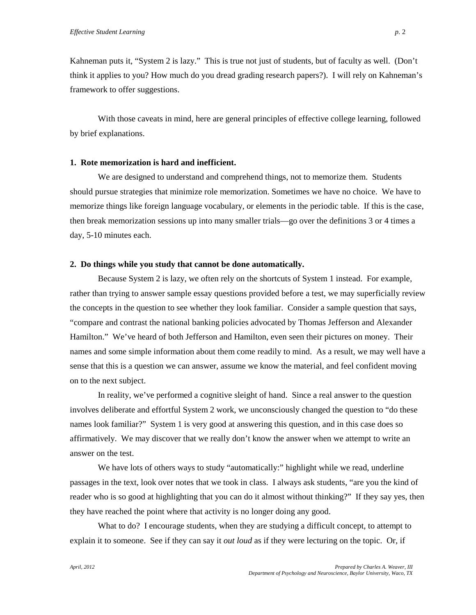Kahneman puts it, "System 2 is lazy." This is true not just of students, but of faculty as well. (Don't think it applies to you? How much do you dread grading research papers?). I will rely on Kahneman's framework to offer suggestions.

With those caveats in mind, here are general principles of effective college learning, followed by brief explanations.

### **1. Rote memorization is hard and inefficient.**

We are designed to understand and comprehend things, not to memorize them. Students should pursue strategies that minimize role memorization. Sometimes we have no choice. We have to memorize things like foreign language vocabulary, or elements in the periodic table. If this is the case, then break memorization sessions up into many smaller trials—go over the definitions 3 or 4 times a day, 5-10 minutes each.

#### **2. Do things while you study that cannot be done automatically.**

Because System 2 is lazy, we often rely on the shortcuts of System 1 instead. For example, rather than trying to answer sample essay questions provided before a test, we may superficially review the concepts in the question to see whether they look familiar. Consider a sample question that says, "compare and contrast the national banking policies advocated by Thomas Jefferson and Alexander Hamilton." We've heard of both Jefferson and Hamilton, even seen their pictures on money. Their names and some simple information about them come readily to mind. As a result, we may well have a sense that this is a question we can answer, assume we know the material, and feel confident moving on to the next subject.

In reality, we've performed a cognitive sleight of hand. Since a real answer to the question involves deliberate and effortful System 2 work, we unconsciously changed the question to "do these names look familiar?" System 1 is very good at answering this question, and in this case does so affirmatively. We may discover that we really don't know the answer when we attempt to write an answer on the test.

We have lots of others ways to study "automatically:" highlight while we read, underline passages in the text, look over notes that we took in class. I always ask students, "are you the kind of reader who is so good at highlighting that you can do it almost without thinking?" If they say yes, then they have reached the point where that activity is no longer doing any good.

What to do? I encourage students, when they are studying a difficult concept, to attempt to explain it to someone. See if they can say it *out loud* as if they were lecturing on the topic. Or, if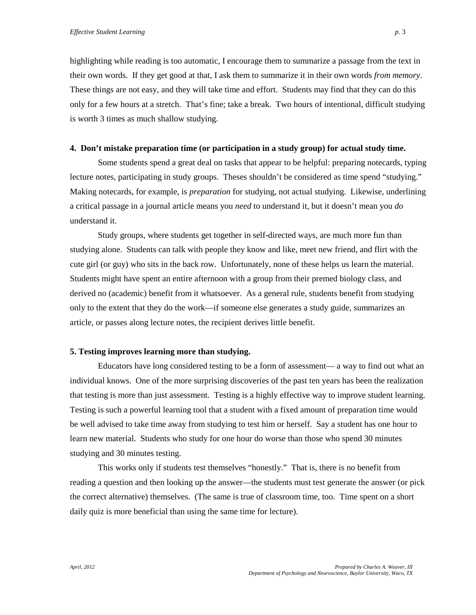highlighting while reading is too automatic, I encourage them to summarize a passage from the text in their own words. If they get good at that, I ask them to summarize it in their own words *from memory*. These things are not easy, and they will take time and effort. Students may find that they can do this only for a few hours at a stretch. That's fine; take a break. Two hours of intentional, difficult studying is worth 3 times as much shallow studying.

#### **4. Don't mistake preparation time (or participation in a study group) for actual study time.**

Some students spend a great deal on tasks that appear to be helpful: preparing notecards, typing lecture notes, participating in study groups. Theses shouldn't be considered as time spend "studying." Making notecards, for example, is *preparation* for studying, not actual studying. Likewise, underlining a critical passage in a journal article means you *need* to understand it, but it doesn't mean you *do* understand it.

Study groups, where students get together in self-directed ways, are much more fun than studying alone. Students can talk with people they know and like, meet new friend, and flirt with the cute girl (or guy) who sits in the back row. Unfortunately, none of these helps us learn the material. Students might have spent an entire afternoon with a group from their premed biology class, and derived no (academic) benefit from it whatsoever. As a general rule, students benefit from studying only to the extent that they do the work—if someone else generates a study guide, summarizes an article, or passes along lecture notes, the recipient derives little benefit.

#### **5. Testing improves learning more than studying.**

Educators have long considered testing to be a form of assessment— a way to find out what an individual knows. One of the more surprising discoveries of the past ten years has been the realization that testing is more than just assessment. Testing is a highly effective way to improve student learning. Testing is such a powerful learning tool that a student with a fixed amount of preparation time would be well advised to take time away from studying to test him or herself. Say a student has one hour to learn new material. Students who study for one hour do worse than those who spend 30 minutes studying and 30 minutes testing.

This works only if students test themselves "honestly." That is, there is no benefit from reading a question and then looking up the answer—the students must test generate the answer (or pick the correct alternative) themselves. (The same is true of classroom time, too. Time spent on a short daily quiz is more beneficial than using the same time for lecture).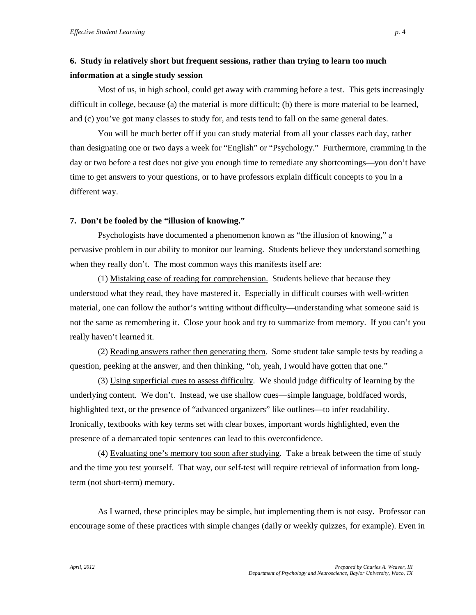# **6. Study in relatively short but frequent sessions, rather than trying to learn too much information at a single study session**

Most of us, in high school, could get away with cramming before a test. This gets increasingly difficult in college, because (a) the material is more difficult; (b) there is more material to be learned, and (c) you've got many classes to study for, and tests tend to fall on the same general dates.

You will be much better off if you can study material from all your classes each day, rather than designating one or two days a week for "English" or "Psychology." Furthermore, cramming in the day or two before a test does not give you enough time to remediate any shortcomings—you don't have time to get answers to your questions, or to have professors explain difficult concepts to you in a different way.

#### **7. Don't be fooled by the "illusion of knowing."**

Psychologists have documented a phenomenon known as "the illusion of knowing," a pervasive problem in our ability to monitor our learning. Students believe they understand something when they really don't. The most common ways this manifests itself are:

(1) Mistaking ease of reading for comprehension. Students believe that because they understood what they read, they have mastered it. Especially in difficult courses with well-written material, one can follow the author's writing without difficulty—understanding what someone said is not the same as remembering it. Close your book and try to summarize from memory. If you can't you really haven't learned it.

(2) Reading answers rather then generating them. Some student take sample tests by reading a question, peeking at the answer, and then thinking, "oh, yeah, I would have gotten that one."

(3) Using superficial cues to assess difficulty. We should judge difficulty of learning by the underlying content. We don't. Instead, we use shallow cues—simple language, boldfaced words, highlighted text, or the presence of "advanced organizers" like outlines—to infer readability. Ironically, textbooks with key terms set with clear boxes, important words highlighted, even the presence of a demarcated topic sentences can lead to this overconfidence.

(4) Evaluating one's memory too soon after studying. Take a break between the time of study and the time you test yourself. That way, our self-test will require retrieval of information from longterm (not short-term) memory.

As I warned, these principles may be simple, but implementing them is not easy. Professor can encourage some of these practices with simple changes (daily or weekly quizzes, for example). Even in